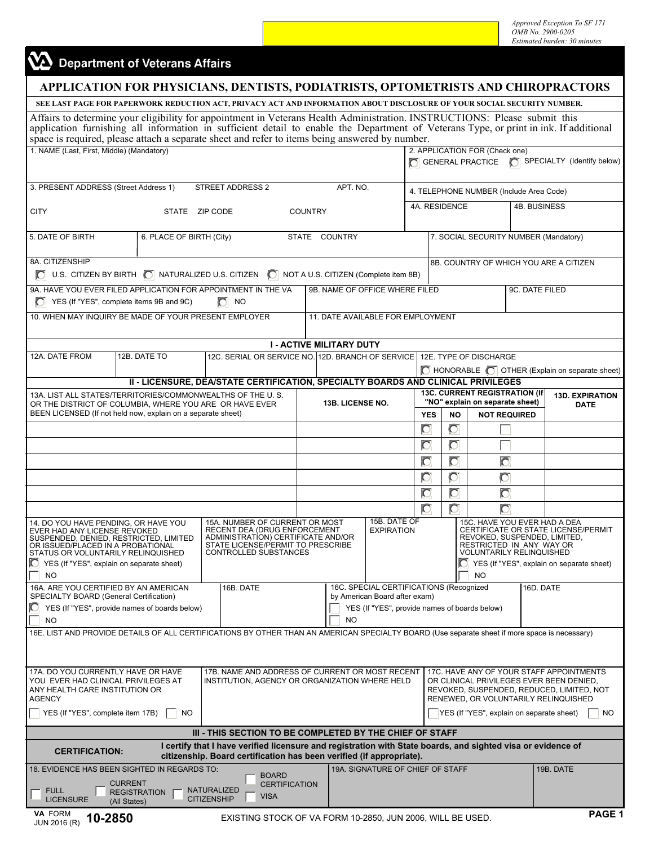*Approved Exception To SF 171 OMB No. 2900-0205 Estimated burden: 30 minutes* 

## Department of Veterans Affairs

| SEE LAST PAGE FOR PAPERWORK REDUCTION ACT, PRIVACY ACT AND INFORMATION ABOUT DISCLOSURE OF YOUR SOCIAL SECURITY NUMBER.<br>Affairs to determine your eligibility for appointment in Veterans Health Administration. INSTRUCTIONS: Please submit this application furnishing all information in sufficient detail to enable the Department of Veterans Typ<br>space is required, please attach a separate sheet and refer to items being answered by number.<br>1. NAME (Last, First, Middle) (Mandatory)<br>2. APPLICATION FOR (Check one)<br>GENERAL PRACTICE <b>C</b> SPECIALTY (Identify below)<br>3. PRESENT ADDRESS (Street Address 1)<br>STREET ADDRESS 2<br>APT. NO.<br>4. TELEPHONE NUMBER (Include Area Code)<br>4A. RESIDENCE<br>4B. BUSINESS<br><b>CITY</b><br>STATE ZIP CODE<br><b>COUNTRY</b><br>5. DATE OF BIRTH<br>6. PLACE OF BIRTH (City)<br>STATE COUNTRY<br>7. SOCIAL SECURITY NUMBER (Mandatory)<br>8A. CITIZENSHIP<br>8B. COUNTRY OF WHICH YOU ARE A CITIZEN<br>$\bigcirc$ U.S. CITIZEN BY BIRTH $\bigcirc$ NATURALIZED U.S. CITIZEN $\bigcirc$<br>NOT A U.S. CITIZEN (Complete item 8B)<br>9A. HAVE YOU EVER FILED APPLICATION FOR APPOINTMENT IN THE VA<br>9B. NAME OF OFFICE WHERE FILED<br>9C. DATE FILED<br>YES (If "YES", complete items 9B and 9C)<br>$\Box$ NO<br>10. WHEN MAY INQUIRY BE MADE OF YOUR PRESENT EMPLOYER<br>11. DATE AVAILABLE FOR EMPLOYMENT<br><b>I - ACTIVE MILITARY DUTY</b><br>12A. DATE FROM<br>12B. DATE TO<br>12C. SERIAL OR SERVICE NO. 12D. BRANCH OF SERVICE 12E. TYPE OF DISCHARGE<br>   HONORABLE   OTHER (Explain on separate sheet)<br>II - LICENSURE, DEA/STATE CERTIFICATION, SPECIALTY BOARDS AND CLINICAL PRIVILEGES<br><b>13C. CURRENT REGISTRATION (If</b><br>13A. LIST ALL STATES/TERRITORIES/COMMONWEALTHS OF THE U.S.<br><b>13D. EXPIRATION</b><br>"NO" explain on separate sheet)<br><b>13B. LICENSE NO.</b><br>OR THE DISTRICT OF COLUMBIA, WHERE YOU ARE OR HAVE EVER<br><b>DATE</b><br>BEEN LICENSED (If not held now, explain on a separate sheet)<br><b>YES</b><br><b>NO</b><br><b>NOT REQUIRED</b><br>$\overline{O}$<br>$\overline{O}$<br>$\overline{O}$<br>Ō<br>$\overline{C}$<br>Ō<br>Õ<br>$\overline{O}$<br>$\circ$<br>Ō<br>Ō<br>$\overline{C}$<br>Ō<br>Õ<br>Õ<br>15B. DATE OF<br>15A. NUMBER OF CURRENT OR MOST<br>15C. HAVE YOU EVER HAD A DEA<br>14. DO YOU HAVE PENDING, OR HAVE YOU<br>RECENT DEA (DRUG ENFORCEMENT<br>CERTIFICATE OR STATE LICENSE/PERMIT<br>EVER HAD ANY LICENSE REVOKED<br><b>EXPIRATION</b><br>ADMINISTRATION) CERTIFICATE AND/OR<br>REVOKED, SUSPENDED, LIMITED,<br>SUSPENDED, DENIED, RESTRICTED, LIMITED<br>STATE LICENSE/PERMIT TO PRESCRIBE<br>RESTRICTED IN ANY WAY OR<br>OR ISSUED/PLACED IN A PROBATIONAL<br>CONTROLLED SUBSTANCES<br><b>VOLUNTARILY RELINQUISHED</b><br>STATUS OR VOLUNTARILY RELINQUISHED<br>YES (If "YES", explain on separate sheet)<br>YES (If "YES", explain on separate sheet)<br><b>NO</b><br>NO<br>16C. SPECIAL CERTIFICATIONS (Recognized<br>16A. ARE YOU CERTIFIED BY AN AMERICAN<br>16D. DATE<br>16B. DATE<br>SPECIALTY BOARD (General Certification)<br>by American Board after exam)<br>IO.<br>YES (If "YES", provide names of boards below)<br>YES (If "YES", provide names of boards below)<br><b>NO</b><br><b>NO</b><br>16E. LIST AND PROVIDE DETAILS OF ALL CERTIFICATIONS BY OTHER THAN AN AMERICAN SPECIALTY BOARD (Use separate sheet if more space is necessary)<br>17A. DO YOU CURRENTLY HAVE OR HAVE<br>17B. NAME AND ADDRESS OF CURRENT OR MOST RECENT<br>17C. HAVE ANY OF YOUR STAFF APPOINTMENTS<br>YOU EVER HAD CLINICAL PRIVILEGES AT<br>INSTITUTION, AGENCY OR ORGANIZATION WHERE HELD<br>OR CLINICAL PRIVILEGES EVER BEEN DENIED,<br>ANY HEALTH CARE INSTITUTION OR<br>REVOKED, SUSPENDED, REDUCED, LIMITED, NOT<br><b>AGENCY</b><br>RENEWED, OR VOLUNTARILY RELINQUISHED<br>YES (If "YES", complete item 17B)<br>YES (If "YES", explain on separate sheet)<br><b>NO</b><br>NO.<br>III - THIS SECTION TO BE COMPLETED BY THE CHIEF OF STAFF<br>I certify that I have verified licensure and registration with State boards, and sighted visa or evidence of<br><b>CERTIFICATION:</b><br>citizenship. Board certification has been verified (if appropriate).<br>18. EVIDENCE HAS BEEN SIGHTED IN REGARDS TO:<br>19A. SIGNATURE OF CHIEF OF STAFF<br>19B. DATE<br><b>BOARD</b><br><b>CURRENT</b><br><b>CERTIFICATION</b><br><b>FULL</b><br>NATURALIZED<br><b>REGISTRATION</b><br><b>VISA</b><br><b>LICENSURE</b><br><b>CITIZENSHIP</b><br>(All States) | APPLICATION FOR PHYSICIANS, DENTISTS, PODIATRISTS, OPTOMETRISTS AND CHIROPRACTORS |  |  |  |  |  |  |  |  |  |        |  |
|---------------------------------------------------------------------------------------------------------------------------------------------------------------------------------------------------------------------------------------------------------------------------------------------------------------------------------------------------------------------------------------------------------------------------------------------------------------------------------------------------------------------------------------------------------------------------------------------------------------------------------------------------------------------------------------------------------------------------------------------------------------------------------------------------------------------------------------------------------------------------------------------------------------------------------------------------------------------------------------------------------------------------------------------------------------------------------------------------------------------------------------------------------------------------------------------------------------------------------------------------------------------------------------------------------------------------------------------------------------------------------------------------------------------------------------------------------------------------------------------------------------------------------------------------------------------------------------------------------------------------------------------------------------------------------------------------------------------------------------------------------------------------------------------------------------------------------------------------------------------------------------------------------------------------------------------------------------------------------------------------------------------------------------------------------------------------------------------------------------------------------------------------------------------------------------------------------------------------------------------------------------------------------------------------------------------------------------------------------------------------------------------------------------------------------------------------------------------------------------------------------------------------------------------------------------------------------------------------------------------------------------------------------------------------------------------------------------------------------------------------------------------------------------------------------------------------------------------------------------------------------------------------------------------------------------------------------------------------------------------------------------------------------------------------------------------------------------------------------------------------------------------------------------------------------------------------------------------------------------------------------------------------------------------------------------------------------------------------------------------------------------------------------------------------------------------------------------------------------------------------------------------------------------------------------------------------------------------------------------------------------------------------------------------------------------------------------------------------------------------------------------------------------------------------------------------------------------------------------------------------------------------------------------------------------------------------------------------------------------------------------------------------------------------------------------------------------------------------------------------------------------------------------------------------------------------------------------------------------------------------------------------------------------------------------------------------------------------------------------------------------------------------------------------------------------------------------------------------------------------------------------------|-----------------------------------------------------------------------------------|--|--|--|--|--|--|--|--|--|--------|--|
|                                                                                                                                                                                                                                                                                                                                                                                                                                                                                                                                                                                                                                                                                                                                                                                                                                                                                                                                                                                                                                                                                                                                                                                                                                                                                                                                                                                                                                                                                                                                                                                                                                                                                                                                                                                                                                                                                                                                                                                                                                                                                                                                                                                                                                                                                                                                                                                                                                                                                                                                                                                                                                                                                                                                                                                                                                                                                                                                                                                                                                                                                                                                                                                                                                                                                                                                                                                                                                                                                                                                                                                                                                                                                                                                                                                                                                                                                                                                                                                                                                                                                                                                                                                                                                                                                                                                                                                                                                                                                                                     |                                                                                   |  |  |  |  |  |  |  |  |  |        |  |
|                                                                                                                                                                                                                                                                                                                                                                                                                                                                                                                                                                                                                                                                                                                                                                                                                                                                                                                                                                                                                                                                                                                                                                                                                                                                                                                                                                                                                                                                                                                                                                                                                                                                                                                                                                                                                                                                                                                                                                                                                                                                                                                                                                                                                                                                                                                                                                                                                                                                                                                                                                                                                                                                                                                                                                                                                                                                                                                                                                                                                                                                                                                                                                                                                                                                                                                                                                                                                                                                                                                                                                                                                                                                                                                                                                                                                                                                                                                                                                                                                                                                                                                                                                                                                                                                                                                                                                                                                                                                                                                     |                                                                                   |  |  |  |  |  |  |  |  |  |        |  |
|                                                                                                                                                                                                                                                                                                                                                                                                                                                                                                                                                                                                                                                                                                                                                                                                                                                                                                                                                                                                                                                                                                                                                                                                                                                                                                                                                                                                                                                                                                                                                                                                                                                                                                                                                                                                                                                                                                                                                                                                                                                                                                                                                                                                                                                                                                                                                                                                                                                                                                                                                                                                                                                                                                                                                                                                                                                                                                                                                                                                                                                                                                                                                                                                                                                                                                                                                                                                                                                                                                                                                                                                                                                                                                                                                                                                                                                                                                                                                                                                                                                                                                                                                                                                                                                                                                                                                                                                                                                                                                                     |                                                                                   |  |  |  |  |  |  |  |  |  |        |  |
|                                                                                                                                                                                                                                                                                                                                                                                                                                                                                                                                                                                                                                                                                                                                                                                                                                                                                                                                                                                                                                                                                                                                                                                                                                                                                                                                                                                                                                                                                                                                                                                                                                                                                                                                                                                                                                                                                                                                                                                                                                                                                                                                                                                                                                                                                                                                                                                                                                                                                                                                                                                                                                                                                                                                                                                                                                                                                                                                                                                                                                                                                                                                                                                                                                                                                                                                                                                                                                                                                                                                                                                                                                                                                                                                                                                                                                                                                                                                                                                                                                                                                                                                                                                                                                                                                                                                                                                                                                                                                                                     |                                                                                   |  |  |  |  |  |  |  |  |  |        |  |
|                                                                                                                                                                                                                                                                                                                                                                                                                                                                                                                                                                                                                                                                                                                                                                                                                                                                                                                                                                                                                                                                                                                                                                                                                                                                                                                                                                                                                                                                                                                                                                                                                                                                                                                                                                                                                                                                                                                                                                                                                                                                                                                                                                                                                                                                                                                                                                                                                                                                                                                                                                                                                                                                                                                                                                                                                                                                                                                                                                                                                                                                                                                                                                                                                                                                                                                                                                                                                                                                                                                                                                                                                                                                                                                                                                                                                                                                                                                                                                                                                                                                                                                                                                                                                                                                                                                                                                                                                                                                                                                     |                                                                                   |  |  |  |  |  |  |  |  |  |        |  |
|                                                                                                                                                                                                                                                                                                                                                                                                                                                                                                                                                                                                                                                                                                                                                                                                                                                                                                                                                                                                                                                                                                                                                                                                                                                                                                                                                                                                                                                                                                                                                                                                                                                                                                                                                                                                                                                                                                                                                                                                                                                                                                                                                                                                                                                                                                                                                                                                                                                                                                                                                                                                                                                                                                                                                                                                                                                                                                                                                                                                                                                                                                                                                                                                                                                                                                                                                                                                                                                                                                                                                                                                                                                                                                                                                                                                                                                                                                                                                                                                                                                                                                                                                                                                                                                                                                                                                                                                                                                                                                                     |                                                                                   |  |  |  |  |  |  |  |  |  |        |  |
|                                                                                                                                                                                                                                                                                                                                                                                                                                                                                                                                                                                                                                                                                                                                                                                                                                                                                                                                                                                                                                                                                                                                                                                                                                                                                                                                                                                                                                                                                                                                                                                                                                                                                                                                                                                                                                                                                                                                                                                                                                                                                                                                                                                                                                                                                                                                                                                                                                                                                                                                                                                                                                                                                                                                                                                                                                                                                                                                                                                                                                                                                                                                                                                                                                                                                                                                                                                                                                                                                                                                                                                                                                                                                                                                                                                                                                                                                                                                                                                                                                                                                                                                                                                                                                                                                                                                                                                                                                                                                                                     |                                                                                   |  |  |  |  |  |  |  |  |  |        |  |
|                                                                                                                                                                                                                                                                                                                                                                                                                                                                                                                                                                                                                                                                                                                                                                                                                                                                                                                                                                                                                                                                                                                                                                                                                                                                                                                                                                                                                                                                                                                                                                                                                                                                                                                                                                                                                                                                                                                                                                                                                                                                                                                                                                                                                                                                                                                                                                                                                                                                                                                                                                                                                                                                                                                                                                                                                                                                                                                                                                                                                                                                                                                                                                                                                                                                                                                                                                                                                                                                                                                                                                                                                                                                                                                                                                                                                                                                                                                                                                                                                                                                                                                                                                                                                                                                                                                                                                                                                                                                                                                     |                                                                                   |  |  |  |  |  |  |  |  |  |        |  |
|                                                                                                                                                                                                                                                                                                                                                                                                                                                                                                                                                                                                                                                                                                                                                                                                                                                                                                                                                                                                                                                                                                                                                                                                                                                                                                                                                                                                                                                                                                                                                                                                                                                                                                                                                                                                                                                                                                                                                                                                                                                                                                                                                                                                                                                                                                                                                                                                                                                                                                                                                                                                                                                                                                                                                                                                                                                                                                                                                                                                                                                                                                                                                                                                                                                                                                                                                                                                                                                                                                                                                                                                                                                                                                                                                                                                                                                                                                                                                                                                                                                                                                                                                                                                                                                                                                                                                                                                                                                                                                                     |                                                                                   |  |  |  |  |  |  |  |  |  |        |  |
|                                                                                                                                                                                                                                                                                                                                                                                                                                                                                                                                                                                                                                                                                                                                                                                                                                                                                                                                                                                                                                                                                                                                                                                                                                                                                                                                                                                                                                                                                                                                                                                                                                                                                                                                                                                                                                                                                                                                                                                                                                                                                                                                                                                                                                                                                                                                                                                                                                                                                                                                                                                                                                                                                                                                                                                                                                                                                                                                                                                                                                                                                                                                                                                                                                                                                                                                                                                                                                                                                                                                                                                                                                                                                                                                                                                                                                                                                                                                                                                                                                                                                                                                                                                                                                                                                                                                                                                                                                                                                                                     |                                                                                   |  |  |  |  |  |  |  |  |  |        |  |
|                                                                                                                                                                                                                                                                                                                                                                                                                                                                                                                                                                                                                                                                                                                                                                                                                                                                                                                                                                                                                                                                                                                                                                                                                                                                                                                                                                                                                                                                                                                                                                                                                                                                                                                                                                                                                                                                                                                                                                                                                                                                                                                                                                                                                                                                                                                                                                                                                                                                                                                                                                                                                                                                                                                                                                                                                                                                                                                                                                                                                                                                                                                                                                                                                                                                                                                                                                                                                                                                                                                                                                                                                                                                                                                                                                                                                                                                                                                                                                                                                                                                                                                                                                                                                                                                                                                                                                                                                                                                                                                     |                                                                                   |  |  |  |  |  |  |  |  |  |        |  |
|                                                                                                                                                                                                                                                                                                                                                                                                                                                                                                                                                                                                                                                                                                                                                                                                                                                                                                                                                                                                                                                                                                                                                                                                                                                                                                                                                                                                                                                                                                                                                                                                                                                                                                                                                                                                                                                                                                                                                                                                                                                                                                                                                                                                                                                                                                                                                                                                                                                                                                                                                                                                                                                                                                                                                                                                                                                                                                                                                                                                                                                                                                                                                                                                                                                                                                                                                                                                                                                                                                                                                                                                                                                                                                                                                                                                                                                                                                                                                                                                                                                                                                                                                                                                                                                                                                                                                                                                                                                                                                                     |                                                                                   |  |  |  |  |  |  |  |  |  |        |  |
|                                                                                                                                                                                                                                                                                                                                                                                                                                                                                                                                                                                                                                                                                                                                                                                                                                                                                                                                                                                                                                                                                                                                                                                                                                                                                                                                                                                                                                                                                                                                                                                                                                                                                                                                                                                                                                                                                                                                                                                                                                                                                                                                                                                                                                                                                                                                                                                                                                                                                                                                                                                                                                                                                                                                                                                                                                                                                                                                                                                                                                                                                                                                                                                                                                                                                                                                                                                                                                                                                                                                                                                                                                                                                                                                                                                                                                                                                                                                                                                                                                                                                                                                                                                                                                                                                                                                                                                                                                                                                                                     |                                                                                   |  |  |  |  |  |  |  |  |  |        |  |
|                                                                                                                                                                                                                                                                                                                                                                                                                                                                                                                                                                                                                                                                                                                                                                                                                                                                                                                                                                                                                                                                                                                                                                                                                                                                                                                                                                                                                                                                                                                                                                                                                                                                                                                                                                                                                                                                                                                                                                                                                                                                                                                                                                                                                                                                                                                                                                                                                                                                                                                                                                                                                                                                                                                                                                                                                                                                                                                                                                                                                                                                                                                                                                                                                                                                                                                                                                                                                                                                                                                                                                                                                                                                                                                                                                                                                                                                                                                                                                                                                                                                                                                                                                                                                                                                                                                                                                                                                                                                                                                     |                                                                                   |  |  |  |  |  |  |  |  |  |        |  |
|                                                                                                                                                                                                                                                                                                                                                                                                                                                                                                                                                                                                                                                                                                                                                                                                                                                                                                                                                                                                                                                                                                                                                                                                                                                                                                                                                                                                                                                                                                                                                                                                                                                                                                                                                                                                                                                                                                                                                                                                                                                                                                                                                                                                                                                                                                                                                                                                                                                                                                                                                                                                                                                                                                                                                                                                                                                                                                                                                                                                                                                                                                                                                                                                                                                                                                                                                                                                                                                                                                                                                                                                                                                                                                                                                                                                                                                                                                                                                                                                                                                                                                                                                                                                                                                                                                                                                                                                                                                                                                                     |                                                                                   |  |  |  |  |  |  |  |  |  |        |  |
|                                                                                                                                                                                                                                                                                                                                                                                                                                                                                                                                                                                                                                                                                                                                                                                                                                                                                                                                                                                                                                                                                                                                                                                                                                                                                                                                                                                                                                                                                                                                                                                                                                                                                                                                                                                                                                                                                                                                                                                                                                                                                                                                                                                                                                                                                                                                                                                                                                                                                                                                                                                                                                                                                                                                                                                                                                                                                                                                                                                                                                                                                                                                                                                                                                                                                                                                                                                                                                                                                                                                                                                                                                                                                                                                                                                                                                                                                                                                                                                                                                                                                                                                                                                                                                                                                                                                                                                                                                                                                                                     |                                                                                   |  |  |  |  |  |  |  |  |  |        |  |
|                                                                                                                                                                                                                                                                                                                                                                                                                                                                                                                                                                                                                                                                                                                                                                                                                                                                                                                                                                                                                                                                                                                                                                                                                                                                                                                                                                                                                                                                                                                                                                                                                                                                                                                                                                                                                                                                                                                                                                                                                                                                                                                                                                                                                                                                                                                                                                                                                                                                                                                                                                                                                                                                                                                                                                                                                                                                                                                                                                                                                                                                                                                                                                                                                                                                                                                                                                                                                                                                                                                                                                                                                                                                                                                                                                                                                                                                                                                                                                                                                                                                                                                                                                                                                                                                                                                                                                                                                                                                                                                     |                                                                                   |  |  |  |  |  |  |  |  |  |        |  |
|                                                                                                                                                                                                                                                                                                                                                                                                                                                                                                                                                                                                                                                                                                                                                                                                                                                                                                                                                                                                                                                                                                                                                                                                                                                                                                                                                                                                                                                                                                                                                                                                                                                                                                                                                                                                                                                                                                                                                                                                                                                                                                                                                                                                                                                                                                                                                                                                                                                                                                                                                                                                                                                                                                                                                                                                                                                                                                                                                                                                                                                                                                                                                                                                                                                                                                                                                                                                                                                                                                                                                                                                                                                                                                                                                                                                                                                                                                                                                                                                                                                                                                                                                                                                                                                                                                                                                                                                                                                                                                                     |                                                                                   |  |  |  |  |  |  |  |  |  |        |  |
|                                                                                                                                                                                                                                                                                                                                                                                                                                                                                                                                                                                                                                                                                                                                                                                                                                                                                                                                                                                                                                                                                                                                                                                                                                                                                                                                                                                                                                                                                                                                                                                                                                                                                                                                                                                                                                                                                                                                                                                                                                                                                                                                                                                                                                                                                                                                                                                                                                                                                                                                                                                                                                                                                                                                                                                                                                                                                                                                                                                                                                                                                                                                                                                                                                                                                                                                                                                                                                                                                                                                                                                                                                                                                                                                                                                                                                                                                                                                                                                                                                                                                                                                                                                                                                                                                                                                                                                                                                                                                                                     |                                                                                   |  |  |  |  |  |  |  |  |  |        |  |
|                                                                                                                                                                                                                                                                                                                                                                                                                                                                                                                                                                                                                                                                                                                                                                                                                                                                                                                                                                                                                                                                                                                                                                                                                                                                                                                                                                                                                                                                                                                                                                                                                                                                                                                                                                                                                                                                                                                                                                                                                                                                                                                                                                                                                                                                                                                                                                                                                                                                                                                                                                                                                                                                                                                                                                                                                                                                                                                                                                                                                                                                                                                                                                                                                                                                                                                                                                                                                                                                                                                                                                                                                                                                                                                                                                                                                                                                                                                                                                                                                                                                                                                                                                                                                                                                                                                                                                                                                                                                                                                     |                                                                                   |  |  |  |  |  |  |  |  |  |        |  |
|                                                                                                                                                                                                                                                                                                                                                                                                                                                                                                                                                                                                                                                                                                                                                                                                                                                                                                                                                                                                                                                                                                                                                                                                                                                                                                                                                                                                                                                                                                                                                                                                                                                                                                                                                                                                                                                                                                                                                                                                                                                                                                                                                                                                                                                                                                                                                                                                                                                                                                                                                                                                                                                                                                                                                                                                                                                                                                                                                                                                                                                                                                                                                                                                                                                                                                                                                                                                                                                                                                                                                                                                                                                                                                                                                                                                                                                                                                                                                                                                                                                                                                                                                                                                                                                                                                                                                                                                                                                                                                                     |                                                                                   |  |  |  |  |  |  |  |  |  |        |  |
|                                                                                                                                                                                                                                                                                                                                                                                                                                                                                                                                                                                                                                                                                                                                                                                                                                                                                                                                                                                                                                                                                                                                                                                                                                                                                                                                                                                                                                                                                                                                                                                                                                                                                                                                                                                                                                                                                                                                                                                                                                                                                                                                                                                                                                                                                                                                                                                                                                                                                                                                                                                                                                                                                                                                                                                                                                                                                                                                                                                                                                                                                                                                                                                                                                                                                                                                                                                                                                                                                                                                                                                                                                                                                                                                                                                                                                                                                                                                                                                                                                                                                                                                                                                                                                                                                                                                                                                                                                                                                                                     |                                                                                   |  |  |  |  |  |  |  |  |  |        |  |
|                                                                                                                                                                                                                                                                                                                                                                                                                                                                                                                                                                                                                                                                                                                                                                                                                                                                                                                                                                                                                                                                                                                                                                                                                                                                                                                                                                                                                                                                                                                                                                                                                                                                                                                                                                                                                                                                                                                                                                                                                                                                                                                                                                                                                                                                                                                                                                                                                                                                                                                                                                                                                                                                                                                                                                                                                                                                                                                                                                                                                                                                                                                                                                                                                                                                                                                                                                                                                                                                                                                                                                                                                                                                                                                                                                                                                                                                                                                                                                                                                                                                                                                                                                                                                                                                                                                                                                                                                                                                                                                     |                                                                                   |  |  |  |  |  |  |  |  |  |        |  |
|                                                                                                                                                                                                                                                                                                                                                                                                                                                                                                                                                                                                                                                                                                                                                                                                                                                                                                                                                                                                                                                                                                                                                                                                                                                                                                                                                                                                                                                                                                                                                                                                                                                                                                                                                                                                                                                                                                                                                                                                                                                                                                                                                                                                                                                                                                                                                                                                                                                                                                                                                                                                                                                                                                                                                                                                                                                                                                                                                                                                                                                                                                                                                                                                                                                                                                                                                                                                                                                                                                                                                                                                                                                                                                                                                                                                                                                                                                                                                                                                                                                                                                                                                                                                                                                                                                                                                                                                                                                                                                                     |                                                                                   |  |  |  |  |  |  |  |  |  |        |  |
|                                                                                                                                                                                                                                                                                                                                                                                                                                                                                                                                                                                                                                                                                                                                                                                                                                                                                                                                                                                                                                                                                                                                                                                                                                                                                                                                                                                                                                                                                                                                                                                                                                                                                                                                                                                                                                                                                                                                                                                                                                                                                                                                                                                                                                                                                                                                                                                                                                                                                                                                                                                                                                                                                                                                                                                                                                                                                                                                                                                                                                                                                                                                                                                                                                                                                                                                                                                                                                                                                                                                                                                                                                                                                                                                                                                                                                                                                                                                                                                                                                                                                                                                                                                                                                                                                                                                                                                                                                                                                                                     |                                                                                   |  |  |  |  |  |  |  |  |  |        |  |
|                                                                                                                                                                                                                                                                                                                                                                                                                                                                                                                                                                                                                                                                                                                                                                                                                                                                                                                                                                                                                                                                                                                                                                                                                                                                                                                                                                                                                                                                                                                                                                                                                                                                                                                                                                                                                                                                                                                                                                                                                                                                                                                                                                                                                                                                                                                                                                                                                                                                                                                                                                                                                                                                                                                                                                                                                                                                                                                                                                                                                                                                                                                                                                                                                                                                                                                                                                                                                                                                                                                                                                                                                                                                                                                                                                                                                                                                                                                                                                                                                                                                                                                                                                                                                                                                                                                                                                                                                                                                                                                     |                                                                                   |  |  |  |  |  |  |  |  |  |        |  |
|                                                                                                                                                                                                                                                                                                                                                                                                                                                                                                                                                                                                                                                                                                                                                                                                                                                                                                                                                                                                                                                                                                                                                                                                                                                                                                                                                                                                                                                                                                                                                                                                                                                                                                                                                                                                                                                                                                                                                                                                                                                                                                                                                                                                                                                                                                                                                                                                                                                                                                                                                                                                                                                                                                                                                                                                                                                                                                                                                                                                                                                                                                                                                                                                                                                                                                                                                                                                                                                                                                                                                                                                                                                                                                                                                                                                                                                                                                                                                                                                                                                                                                                                                                                                                                                                                                                                                                                                                                                                                                                     |                                                                                   |  |  |  |  |  |  |  |  |  |        |  |
|                                                                                                                                                                                                                                                                                                                                                                                                                                                                                                                                                                                                                                                                                                                                                                                                                                                                                                                                                                                                                                                                                                                                                                                                                                                                                                                                                                                                                                                                                                                                                                                                                                                                                                                                                                                                                                                                                                                                                                                                                                                                                                                                                                                                                                                                                                                                                                                                                                                                                                                                                                                                                                                                                                                                                                                                                                                                                                                                                                                                                                                                                                                                                                                                                                                                                                                                                                                                                                                                                                                                                                                                                                                                                                                                                                                                                                                                                                                                                                                                                                                                                                                                                                                                                                                                                                                                                                                                                                                                                                                     |                                                                                   |  |  |  |  |  |  |  |  |  |        |  |
| EXISTING STOCK OF VA FORM 10-2850, JUN 2006, WILL BE USED.<br>JUN 2016 (R)                                                                                                                                                                                                                                                                                                                                                                                                                                                                                                                                                                                                                                                                                                                                                                                                                                                                                                                                                                                                                                                                                                                                                                                                                                                                                                                                                                                                                                                                                                                                                                                                                                                                                                                                                                                                                                                                                                                                                                                                                                                                                                                                                                                                                                                                                                                                                                                                                                                                                                                                                                                                                                                                                                                                                                                                                                                                                                                                                                                                                                                                                                                                                                                                                                                                                                                                                                                                                                                                                                                                                                                                                                                                                                                                                                                                                                                                                                                                                                                                                                                                                                                                                                                                                                                                                                                                                                                                                                          | <b>VA FORM</b><br>10-2850                                                         |  |  |  |  |  |  |  |  |  | PAGE 1 |  |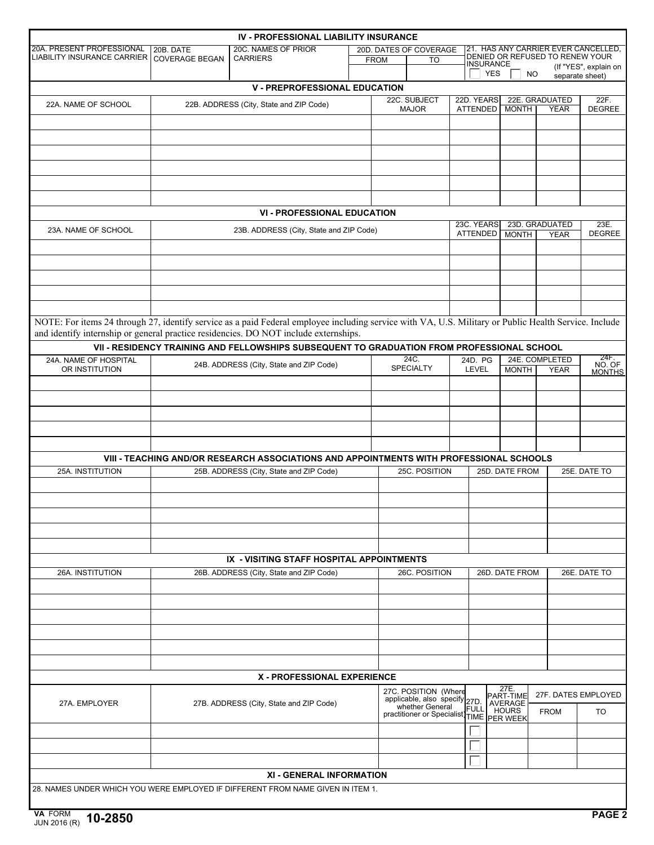|                                                                                                                                                       |                       | IV - PROFESSIONAL LIABILITY INSURANCE                                                      |                                               |                   |                                                       |      |                                |                   |                                 |                                     |  |
|-------------------------------------------------------------------------------------------------------------------------------------------------------|-----------------------|--------------------------------------------------------------------------------------------|-----------------------------------------------|-------------------|-------------------------------------------------------|------|--------------------------------|-------------------|---------------------------------|-------------------------------------|--|
| 20A. PRESENT PROFESSIONAL<br><b>LIABILITY INSURANCE CARRIER</b>                                                                                       | 20B. DATE             | 20C. NAMES OF PRIOR                                                                        |                                               |                   | 20D. DATES OF COVERAGE                                |      |                                |                   | DENIED OR REFUSED TO RENEW YOUR | 21. HAS ANY CARRIER EVER CANCELLED. |  |
|                                                                                                                                                       | <b>COVERAGE BEGAN</b> | <b>CARRIERS</b>                                                                            |                                               | <b>FROM</b><br>TO |                                                       |      | INSURANCE                      |                   |                                 | (If "YES", explain on               |  |
|                                                                                                                                                       |                       |                                                                                            |                                               |                   |                                                       |      | <b>YES</b>                     | <b>NO</b>         |                                 | separate sheet)                     |  |
|                                                                                                                                                       |                       | <b>V - PREPROFESSIONAL EDUCATION</b>                                                       |                                               |                   | 22C. SUBJECT                                          |      |                                |                   | 22E. GRADUATED                  | 22F.                                |  |
| 22A. NAME OF SCHOOL                                                                                                                                   |                       | 22B. ADDRESS (City, State and ZIP Code)                                                    |                                               |                   | <b>MAJOR</b>                                          |      | 22D. YEARS<br>ATTENDED         | <b>MONTH</b>      | <b>YEAR</b>                     | <b>DEGREE</b>                       |  |
|                                                                                                                                                       |                       |                                                                                            |                                               |                   |                                                       |      |                                |                   |                                 |                                     |  |
|                                                                                                                                                       |                       |                                                                                            |                                               |                   |                                                       |      |                                |                   |                                 |                                     |  |
|                                                                                                                                                       |                       |                                                                                            |                                               |                   |                                                       |      |                                |                   |                                 |                                     |  |
|                                                                                                                                                       |                       |                                                                                            |                                               |                   |                                                       |      |                                |                   |                                 |                                     |  |
|                                                                                                                                                       |                       |                                                                                            |                                               |                   |                                                       |      |                                |                   |                                 |                                     |  |
|                                                                                                                                                       |                       |                                                                                            |                                               |                   |                                                       |      |                                |                   |                                 |                                     |  |
|                                                                                                                                                       |                       |                                                                                            |                                               |                   |                                                       |      |                                |                   |                                 |                                     |  |
|                                                                                                                                                       |                       | <b>VI - PROFESSIONAL EDUCATION</b>                                                         |                                               |                   |                                                       |      | 23C. YEARS                     |                   | 23D. GRADUATED                  | 23E.                                |  |
| 23A. NAME OF SCHOOL                                                                                                                                   |                       | 23B. ADDRESS (City, State and ZIP Code)                                                    |                                               |                   |                                                       |      | ATTENDED                       | <b>MONTH</b>      | <b>YEAR</b>                     | <b>DEGREE</b>                       |  |
|                                                                                                                                                       |                       |                                                                                            |                                               |                   |                                                       |      |                                |                   |                                 |                                     |  |
|                                                                                                                                                       |                       |                                                                                            |                                               |                   |                                                       |      |                                |                   |                                 |                                     |  |
|                                                                                                                                                       |                       |                                                                                            |                                               |                   |                                                       |      |                                |                   |                                 |                                     |  |
|                                                                                                                                                       |                       |                                                                                            |                                               |                   |                                                       |      |                                |                   |                                 |                                     |  |
|                                                                                                                                                       |                       |                                                                                            |                                               |                   |                                                       |      |                                |                   |                                 |                                     |  |
| NOTE: For items 24 through 27, identify service as a paid Federal employee including service with VA, U.S. Military or Public Health Service. Include |                       |                                                                                            |                                               |                   |                                                       |      |                                |                   |                                 |                                     |  |
| and identify internship or general practice residencies. DO NOT include externships.                                                                  |                       |                                                                                            |                                               |                   |                                                       |      |                                |                   |                                 |                                     |  |
|                                                                                                                                                       |                       | VII - RESIDENCY TRAINING AND FELLOWSHIPS SUBSEQUENT TO GRADUATION FROM PROFESSIONAL SCHOOL |                                               |                   |                                                       |      |                                |                   |                                 |                                     |  |
| 24A. NAME OF HOSPITAL                                                                                                                                 |                       |                                                                                            |                                               |                   | 24C.                                                  |      | 24D. PG                        |                   | 24E. COMPLETED                  | 24F.<br>NO. OF                      |  |
| OR INSTITUTION                                                                                                                                        |                       | 24B. ADDRESS (City, State and ZIP Code)                                                    |                                               |                   | <b>SPECIALTY</b>                                      |      | <b>LEVEL</b>                   | <b>MONTH</b>      | <b>YEAR</b>                     | <b>MONTHS</b>                       |  |
|                                                                                                                                                       |                       |                                                                                            |                                               |                   |                                                       |      |                                |                   |                                 |                                     |  |
|                                                                                                                                                       |                       |                                                                                            |                                               |                   |                                                       |      |                                |                   |                                 |                                     |  |
|                                                                                                                                                       |                       |                                                                                            |                                               |                   |                                                       |      |                                |                   |                                 |                                     |  |
|                                                                                                                                                       |                       |                                                                                            |                                               |                   |                                                       |      |                                |                   |                                 |                                     |  |
|                                                                                                                                                       |                       |                                                                                            |                                               |                   |                                                       |      |                                |                   |                                 |                                     |  |
|                                                                                                                                                       |                       | VIII - TEACHING AND/OR RESEARCH ASSOCIATIONS AND APPOINTMENTS WITH PROFESSIONAL SCHOOLS    |                                               |                   |                                                       |      |                                |                   |                                 |                                     |  |
| 25A. INSTITUTION                                                                                                                                      |                       | 25B. ADDRESS (City, State and ZIP Code)                                                    |                                               |                   | 25C. POSITION                                         |      |                                | 25D. DATE FROM    |                                 | 25E. DATE TO                        |  |
|                                                                                                                                                       |                       |                                                                                            |                                               |                   |                                                       |      |                                |                   |                                 |                                     |  |
|                                                                                                                                                       |                       |                                                                                            |                                               |                   |                                                       |      |                                |                   |                                 |                                     |  |
|                                                                                                                                                       |                       |                                                                                            |                                               |                   |                                                       |      |                                |                   |                                 |                                     |  |
|                                                                                                                                                       |                       |                                                                                            |                                               |                   |                                                       |      |                                |                   |                                 |                                     |  |
|                                                                                                                                                       |                       |                                                                                            |                                               |                   |                                                       |      |                                |                   |                                 |                                     |  |
|                                                                                                                                                       |                       | IX - VISITING STAFF HOSPITAL APPOINTMENTS                                                  |                                               |                   |                                                       |      |                                |                   |                                 |                                     |  |
| 26A. INSTITUTION                                                                                                                                      |                       | 26B. ADDRESS (City, State and ZIP Code)                                                    |                                               |                   | 26C. POSITION                                         |      |                                | 26D. DATE FROM    |                                 | 26E. DATE TO                        |  |
|                                                                                                                                                       |                       |                                                                                            |                                               |                   |                                                       |      |                                |                   |                                 |                                     |  |
|                                                                                                                                                       |                       |                                                                                            |                                               |                   |                                                       |      |                                |                   |                                 |                                     |  |
|                                                                                                                                                       |                       |                                                                                            |                                               |                   |                                                       |      |                                |                   |                                 |                                     |  |
|                                                                                                                                                       |                       |                                                                                            |                                               |                   |                                                       |      |                                |                   |                                 |                                     |  |
|                                                                                                                                                       |                       |                                                                                            |                                               |                   |                                                       |      |                                |                   |                                 |                                     |  |
|                                                                                                                                                       |                       |                                                                                            |                                               |                   |                                                       |      |                                |                   |                                 |                                     |  |
|                                                                                                                                                       |                       |                                                                                            |                                               |                   |                                                       |      |                                |                   |                                 |                                     |  |
|                                                                                                                                                       |                       | <b>X - PROFESSIONAL EXPERIENCE</b>                                                         |                                               |                   |                                                       |      |                                |                   |                                 |                                     |  |
|                                                                                                                                                       |                       |                                                                                            |                                               |                   | 27C. POSITION (Where<br>applicable, also specify 27D. |      |                                | 27E.<br>PART-TIME |                                 | 27F. DATES EMPLOYED                 |  |
| 27B. ADDRESS (City, State and ZIP Code)<br>27A. EMPLOYER                                                                                              |                       |                                                                                            | whether General<br>practitioner or Specialist |                   |                                                       | FULL | <b>AVERAGE</b><br><b>HOURS</b> | <b>FROM</b>       | TO                              |                                     |  |
|                                                                                                                                                       |                       |                                                                                            |                                               |                   |                                                       |      |                                | TIME PER WEEK     |                                 |                                     |  |
|                                                                                                                                                       |                       |                                                                                            |                                               |                   |                                                       |      |                                |                   |                                 |                                     |  |
|                                                                                                                                                       |                       |                                                                                            |                                               |                   |                                                       |      |                                |                   |                                 |                                     |  |
|                                                                                                                                                       |                       |                                                                                            |                                               |                   |                                                       |      |                                |                   |                                 |                                     |  |
|                                                                                                                                                       |                       | XI - GENERAL INFORMATION                                                                   |                                               |                   |                                                       |      |                                |                   |                                 |                                     |  |
| 28. NAMES UNDER WHICH YOU WERE EMPLOYED IF DIFFERENT FROM NAME GIVEN IN ITEM 1.                                                                       |                       |                                                                                            |                                               |                   |                                                       |      |                                |                   |                                 |                                     |  |
| <b>VA EODM</b>                                                                                                                                        |                       |                                                                                            |                                               |                   |                                                       |      |                                |                   |                                 | <b>DACE 2</b>                       |  |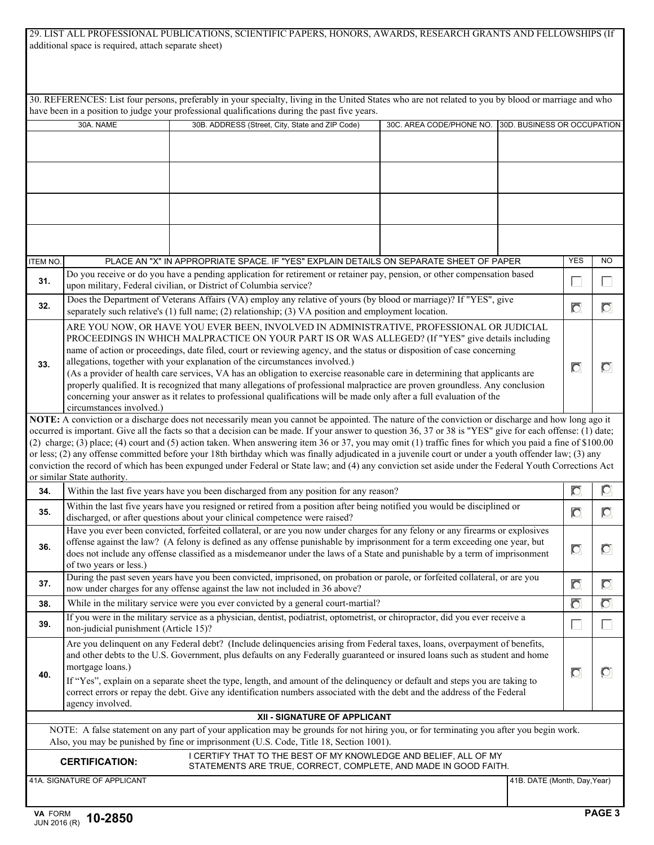| 29. LIST ALL PROFESSIONAL PUBLICATIONS, SCIENTIFIC PAPERS, HONORS, AWARDS, RESEARCH GRANTS AND FELLOWSHIPS (If |  |  |
|----------------------------------------------------------------------------------------------------------------|--|--|
| additional space is required, attach separate sheet)                                                           |  |  |

|                                                                                                                                                                                                                                                                                                                                                                                                                                                                                                                                                                       |                                                                                                                                                                                                                                                                                                                                                                                                                      | 30. REFERENCES: List four persons, preferably in your specialty, living in the United States who are not related to you by blood or marriage and who<br>have been in a position to judge your professional qualifications during the past five years.                                                                                                                                                                                                                                                                                                                                                                                                                                                                                                                                            |                          |                              |                |                |
|-----------------------------------------------------------------------------------------------------------------------------------------------------------------------------------------------------------------------------------------------------------------------------------------------------------------------------------------------------------------------------------------------------------------------------------------------------------------------------------------------------------------------------------------------------------------------|----------------------------------------------------------------------------------------------------------------------------------------------------------------------------------------------------------------------------------------------------------------------------------------------------------------------------------------------------------------------------------------------------------------------|--------------------------------------------------------------------------------------------------------------------------------------------------------------------------------------------------------------------------------------------------------------------------------------------------------------------------------------------------------------------------------------------------------------------------------------------------------------------------------------------------------------------------------------------------------------------------------------------------------------------------------------------------------------------------------------------------------------------------------------------------------------------------------------------------|--------------------------|------------------------------|----------------|----------------|
|                                                                                                                                                                                                                                                                                                                                                                                                                                                                                                                                                                       | 30A. NAME                                                                                                                                                                                                                                                                                                                                                                                                            | 30B. ADDRESS (Street, City, State and ZIP Code)                                                                                                                                                                                                                                                                                                                                                                                                                                                                                                                                                                                                                                                                                                                                                  | 30C. AREA CODE/PHONE NO. | 30D. BUSINESS OR OCCUPATION  |                |                |
|                                                                                                                                                                                                                                                                                                                                                                                                                                                                                                                                                                       |                                                                                                                                                                                                                                                                                                                                                                                                                      |                                                                                                                                                                                                                                                                                                                                                                                                                                                                                                                                                                                                                                                                                                                                                                                                  |                          |                              |                |                |
|                                                                                                                                                                                                                                                                                                                                                                                                                                                                                                                                                                       |                                                                                                                                                                                                                                                                                                                                                                                                                      |                                                                                                                                                                                                                                                                                                                                                                                                                                                                                                                                                                                                                                                                                                                                                                                                  |                          |                              |                |                |
|                                                                                                                                                                                                                                                                                                                                                                                                                                                                                                                                                                       |                                                                                                                                                                                                                                                                                                                                                                                                                      |                                                                                                                                                                                                                                                                                                                                                                                                                                                                                                                                                                                                                                                                                                                                                                                                  |                          |                              |                |                |
|                                                                                                                                                                                                                                                                                                                                                                                                                                                                                                                                                                       |                                                                                                                                                                                                                                                                                                                                                                                                                      |                                                                                                                                                                                                                                                                                                                                                                                                                                                                                                                                                                                                                                                                                                                                                                                                  |                          |                              |                |                |
|                                                                                                                                                                                                                                                                                                                                                                                                                                                                                                                                                                       |                                                                                                                                                                                                                                                                                                                                                                                                                      |                                                                                                                                                                                                                                                                                                                                                                                                                                                                                                                                                                                                                                                                                                                                                                                                  |                          |                              |                |                |
|                                                                                                                                                                                                                                                                                                                                                                                                                                                                                                                                                                       |                                                                                                                                                                                                                                                                                                                                                                                                                      |                                                                                                                                                                                                                                                                                                                                                                                                                                                                                                                                                                                                                                                                                                                                                                                                  |                          |                              |                |                |
|                                                                                                                                                                                                                                                                                                                                                                                                                                                                                                                                                                       |                                                                                                                                                                                                                                                                                                                                                                                                                      |                                                                                                                                                                                                                                                                                                                                                                                                                                                                                                                                                                                                                                                                                                                                                                                                  |                          |                              |                |                |
|                                                                                                                                                                                                                                                                                                                                                                                                                                                                                                                                                                       |                                                                                                                                                                                                                                                                                                                                                                                                                      |                                                                                                                                                                                                                                                                                                                                                                                                                                                                                                                                                                                                                                                                                                                                                                                                  |                          |                              |                |                |
| <b>ITEM NO.</b>                                                                                                                                                                                                                                                                                                                                                                                                                                                                                                                                                       |                                                                                                                                                                                                                                                                                                                                                                                                                      | PLACE AN "X" IN APPROPRIATE SPACE. IF "YES" EXPLAIN DETAILS ON SEPARATE SHEET OF PAPER                                                                                                                                                                                                                                                                                                                                                                                                                                                                                                                                                                                                                                                                                                           |                          |                              | <b>YES</b>     | <b>NO</b>      |
| 31.                                                                                                                                                                                                                                                                                                                                                                                                                                                                                                                                                                   |                                                                                                                                                                                                                                                                                                                                                                                                                      | Do you receive or do you have a pending application for retirement or retainer pay, pension, or other compensation based<br>upon military, Federal civilian, or District of Columbia service?                                                                                                                                                                                                                                                                                                                                                                                                                                                                                                                                                                                                    |                          |                              | L              | $\mathbf{L}$   |
| 32.                                                                                                                                                                                                                                                                                                                                                                                                                                                                                                                                                                   |                                                                                                                                                                                                                                                                                                                                                                                                                      | Does the Department of Veterans Affairs (VA) employ any relative of yours (by blood or marriage)? If "YES", give<br>separately such relative's $(1)$ full name; $(2)$ relationship; $(3)$ VA position and employment location.                                                                                                                                                                                                                                                                                                                                                                                                                                                                                                                                                                   |                          |                              | $\overline{C}$ | $\overline{O}$ |
| 33.                                                                                                                                                                                                                                                                                                                                                                                                                                                                                                                                                                   | circumstances involved.)                                                                                                                                                                                                                                                                                                                                                                                             | ARE YOU NOW, OR HAVE YOU EVER BEEN, INVOLVED IN ADMINISTRATIVE, PROFESSIONAL OR JUDICIAL<br>PROCEEDINGS IN WHICH MALPRACTICE ON YOUR PART IS OR WAS ALLEGED? (If "YES" give details including<br>name of action or proceedings, date filed, court or reviewing agency, and the status or disposition of case concerning<br>allegations, together with your explanation of the circumstances involved.)<br>(As a provider of health care services, VA has an obligation to exercise reasonable care in determining that applicants are<br>properly qualified. It is recognized that many allegations of professional malpractice are proven groundless. Any conclusion<br>concerning your answer as it relates to professional qualifications will be made only after a full evaluation of the    |                          |                              | $\overline{C}$ | $\circ$        |
|                                                                                                                                                                                                                                                                                                                                                                                                                                                                                                                                                                       | or similar State authority.                                                                                                                                                                                                                                                                                                                                                                                          | NOTE: A conviction or a discharge does not necessarily mean you cannot be appointed. The nature of the conviction or discharge and how long ago it<br>occurred is important. Give all the facts so that a decision can be made. If your answer to question 36, 37 or 38 is "YES" give for each offense: (1) date;<br>(2) charge; (3) place; (4) court and (5) action taken. When answering item 36 or 37, you may omit (1) traffic fines for which you paid a fine of \$100.00<br>or less; (2) any offense committed before your 18th birthday which was finally adjudicated in a juvenile court or under a youth offender law; (3) any<br>conviction the record of which has been expunged under Federal or State law; and (4) any conviction set aside under the Federal Youth Corrections Act |                          |                              |                |                |
| 34.                                                                                                                                                                                                                                                                                                                                                                                                                                                                                                                                                                   | Within the last five years have you been discharged from any position for any reason?                                                                                                                                                                                                                                                                                                                                |                                                                                                                                                                                                                                                                                                                                                                                                                                                                                                                                                                                                                                                                                                                                                                                                  |                          |                              |                |                |
| 35.                                                                                                                                                                                                                                                                                                                                                                                                                                                                                                                                                                   |                                                                                                                                                                                                                                                                                                                                                                                                                      | Within the last five years have you resigned or retired from a position after being notified you would be disciplined or<br>discharged, or after questions about your clinical competence were raised?                                                                                                                                                                                                                                                                                                                                                                                                                                                                                                                                                                                           |                          |                              | $\overline{C}$ | $\overline{C}$ |
| 36.                                                                                                                                                                                                                                                                                                                                                                                                                                                                                                                                                                   | Have you ever been convicted, forfeited collateral, or are you now under charges for any felony or any firearms or explosives<br>offense against the law? (A felony is defined as any offense punishable by imprisonment for a term exceeding one year, but<br>does not include any offense classified as a misdemeanor under the laws of a State and punishable by a term of imprisonment<br>of two years or less.) |                                                                                                                                                                                                                                                                                                                                                                                                                                                                                                                                                                                                                                                                                                                                                                                                  |                          |                              |                |                |
| 37.                                                                                                                                                                                                                                                                                                                                                                                                                                                                                                                                                                   | During the past seven years have you been convicted, imprisoned, on probation or parole, or forfeited collateral, or are you<br>now under charges for any offense against the law not included in 36 above?                                                                                                                                                                                                          |                                                                                                                                                                                                                                                                                                                                                                                                                                                                                                                                                                                                                                                                                                                                                                                                  |                          |                              |                |                |
| 38.                                                                                                                                                                                                                                                                                                                                                                                                                                                                                                                                                                   | While in the military service were you ever convicted by a general court-martial?                                                                                                                                                                                                                                                                                                                                    |                                                                                                                                                                                                                                                                                                                                                                                                                                                                                                                                                                                                                                                                                                                                                                                                  |                          |                              |                | $\overline{O}$ |
| 39.                                                                                                                                                                                                                                                                                                                                                                                                                                                                                                                                                                   | If you were in the military service as a physician, dentist, podiatrist, optometrist, or chiropractor, did you ever receive a<br>non-judicial punishment (Article 15)?                                                                                                                                                                                                                                               |                                                                                                                                                                                                                                                                                                                                                                                                                                                                                                                                                                                                                                                                                                                                                                                                  |                          |                              |                |                |
| Are you delinquent on any Federal debt? (Include delinquencies arising from Federal taxes, loans, overpayment of benefits,<br>and other debts to the U.S. Government, plus defaults on any Federally guaranteed or insured loans such as student and home<br>mortgage loans.)<br>40.<br>If "Yes", explain on a separate sheet the type, length, and amount of the delinquency or default and steps you are taking to<br>correct errors or repay the debt. Give any identification numbers associated with the debt and the address of the Federal<br>agency involved. |                                                                                                                                                                                                                                                                                                                                                                                                                      |                                                                                                                                                                                                                                                                                                                                                                                                                                                                                                                                                                                                                                                                                                                                                                                                  |                          |                              |                | $\circ$        |
|                                                                                                                                                                                                                                                                                                                                                                                                                                                                                                                                                                       |                                                                                                                                                                                                                                                                                                                                                                                                                      | XII - SIGNATURE OF APPLICANT                                                                                                                                                                                                                                                                                                                                                                                                                                                                                                                                                                                                                                                                                                                                                                     |                          |                              |                |                |
|                                                                                                                                                                                                                                                                                                                                                                                                                                                                                                                                                                       |                                                                                                                                                                                                                                                                                                                                                                                                                      | NOTE: A false statement on any part of your application may be grounds for not hiring you, or for terminating you after you begin work.<br>Also, you may be punished by fine or imprisonment (U.S. Code, Title 18, Section 1001).                                                                                                                                                                                                                                                                                                                                                                                                                                                                                                                                                                |                          |                              |                |                |
|                                                                                                                                                                                                                                                                                                                                                                                                                                                                                                                                                                       | <b>CERTIFICATION:</b>                                                                                                                                                                                                                                                                                                                                                                                                | I CERTIFY THAT TO THE BEST OF MY KNOWLEDGE AND BELIEF, ALL OF MY<br>STATEMENTS ARE TRUE, CORRECT, COMPLETE, AND MADE IN GOOD FAITH.                                                                                                                                                                                                                                                                                                                                                                                                                                                                                                                                                                                                                                                              |                          |                              |                |                |
|                                                                                                                                                                                                                                                                                                                                                                                                                                                                                                                                                                       | 41A. SIGNATURE OF APPLICANT                                                                                                                                                                                                                                                                                                                                                                                          |                                                                                                                                                                                                                                                                                                                                                                                                                                                                                                                                                                                                                                                                                                                                                                                                  |                          | 41B. DATE (Month, Day, Year) |                |                |